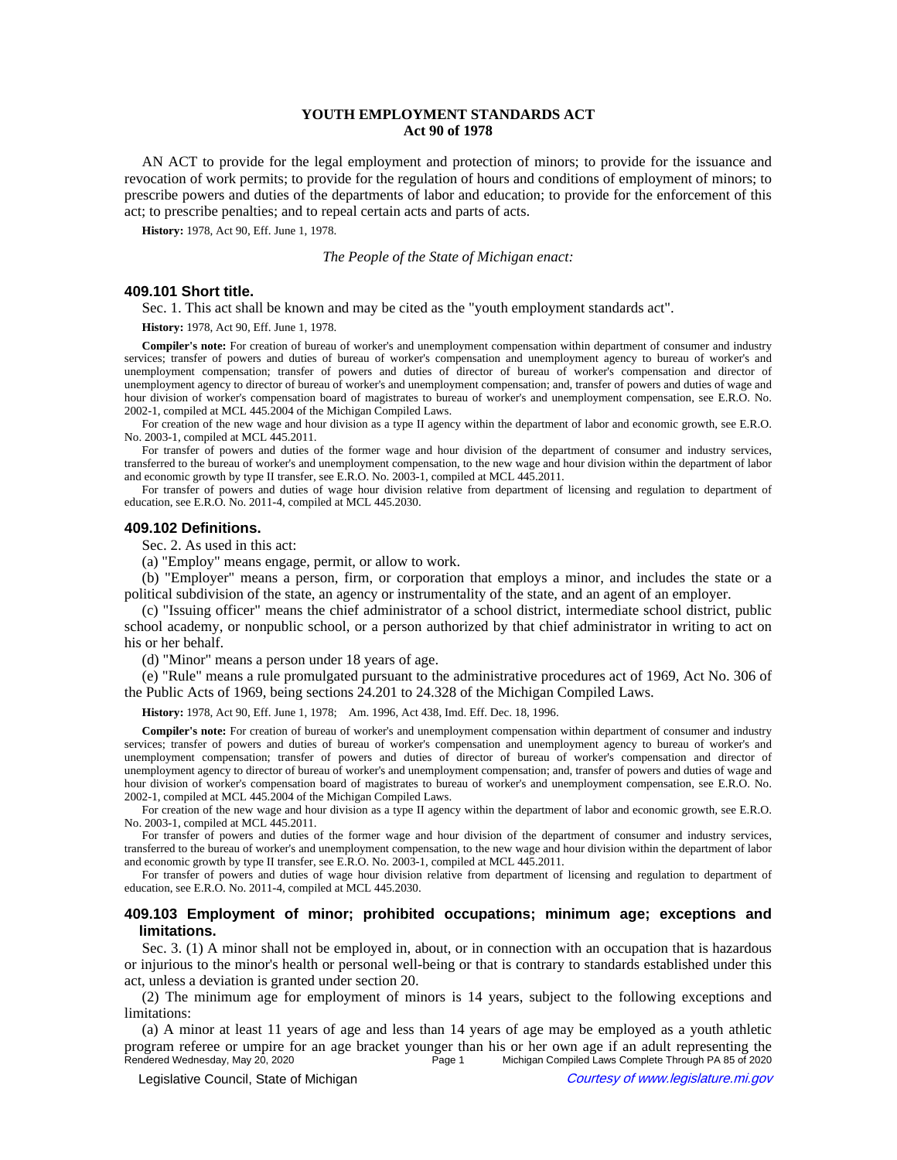# **YOUTH EMPLOYMENT STANDARDS ACT Act 90 of 1978**

AN ACT to provide for the legal employment and protection of minors; to provide for the issuance and revocation of work permits; to provide for the regulation of hours and conditions of employment of minors; to prescribe powers and duties of the departments of labor and education; to provide for the enforcement of this act; to prescribe penalties; and to repeal certain acts and parts of acts.

**History:** 1978, Act 90, Eff. June 1, 1978.

*The People of the State of Michigan enact:*

# **409.101 Short title.**

Sec. 1. This act shall be known and may be cited as the "youth employment standards act".

**History:** 1978, Act 90, Eff. June 1, 1978.

**Compiler's note:** For creation of bureau of worker's and unemployment compensation within department of consumer and industry services; transfer of powers and duties of bureau of worker's compensation and unemployment agency to bureau of worker's and unemployment compensation; transfer of powers and duties of director of bureau of worker's compensation and director of unemployment agency to director of bureau of worker's and unemployment compensation; and, transfer of powers and duties of wage and hour division of worker's compensation board of magistrates to bureau of worker's and unemployment compensation, see E.R.O. No. 2002-1, compiled at MCL 445.2004 of the Michigan Compiled Laws.

For creation of the new wage and hour division as a type II agency within the department of labor and economic growth, see E.R.O. No. 2003-1, compiled at MCL 445.2011.

For transfer of powers and duties of the former wage and hour division of the department of consumer and industry services, transferred to the bureau of worker's and unemployment compensation, to the new wage and hour division within the department of labor and economic growth by type II transfer, see E.R.O. No. 2003-1, compiled at MCL 445.2011.

For transfer of powers and duties of wage hour division relative from department of licensing and regulation to department of education, see E.R.O. No. 2011-4, compiled at MCL 445.2030.

### **409.102 Definitions.**

Sec. 2. As used in this act:

(a) "Employ" means engage, permit, or allow to work.

(b) "Employer" means a person, firm, or corporation that employs a minor, and includes the state or a political subdivision of the state, an agency or instrumentality of the state, and an agent of an employer.

(c) "Issuing officer" means the chief administrator of a school district, intermediate school district, public school academy, or nonpublic school, or a person authorized by that chief administrator in writing to act on his or her behalf.

(d) "Minor" means a person under 18 years of age.

(e) "Rule" means a rule promulgated pursuant to the administrative procedures act of 1969, Act No. 306 of the Public Acts of 1969, being sections 24.201 to 24.328 of the Michigan Compiled Laws.

History: 1978, Act 90, Eff. June 1, 1978;—Am. 1996, Act 438, Imd. Eff. Dec. 18, 1996.

**Compiler's note:** For creation of bureau of worker's and unemployment compensation within department of consumer and industry services; transfer of powers and duties of bureau of worker's compensation and unemployment agency to bureau of worker's and unemployment compensation; transfer of powers and duties of director of bureau of worker's compensation and director of unemployment agency to director of bureau of worker's and unemployment compensation; and, transfer of powers and duties of wage and hour division of worker's compensation board of magistrates to bureau of worker's and unemployment compensation, see E.R.O. No. 2002-1, compiled at MCL 445.2004 of the Michigan Compiled Laws.

For creation of the new wage and hour division as a type II agency within the department of labor and economic growth, see E.R.O. No. 2003-1, compiled at MCL 445.2011.

For transfer of powers and duties of the former wage and hour division of the department of consumer and industry services, transferred to the bureau of worker's and unemployment compensation, to the new wage and hour division within the department of labor and economic growth by type II transfer, see E.R.O. No. 2003-1, compiled at MCL 445.2011.

For transfer of powers and duties of wage hour division relative from department of licensing and regulation to department of education, see E.R.O. No. 2011-4, compiled at MCL 445.2030.

## **409.103 Employment of minor; prohibited occupations; minimum age; exceptions and limitations.**

Sec. 3. (1) A minor shall not be employed in, about, or in connection with an occupation that is hazardous or injurious to the minor's health or personal well-being or that is contrary to standards established under this act, unless a deviation is granted under section 20.

(2) The minimum age for employment of minors is 14 years, subject to the following exceptions and limitations:

(a) A minor at least 11 years of age and less than 14 years of age may be employed as a youth athletic program referee or umpire for an age bracket younger than his or her own age if an adult representing the<br>Rendered Wednesday, May 20, 2020<br>Page 1 Michigan Compiled Laws Complete Through PA 85 of 2020 Michigan Compiled Laws Complete Through PA 85 of 2020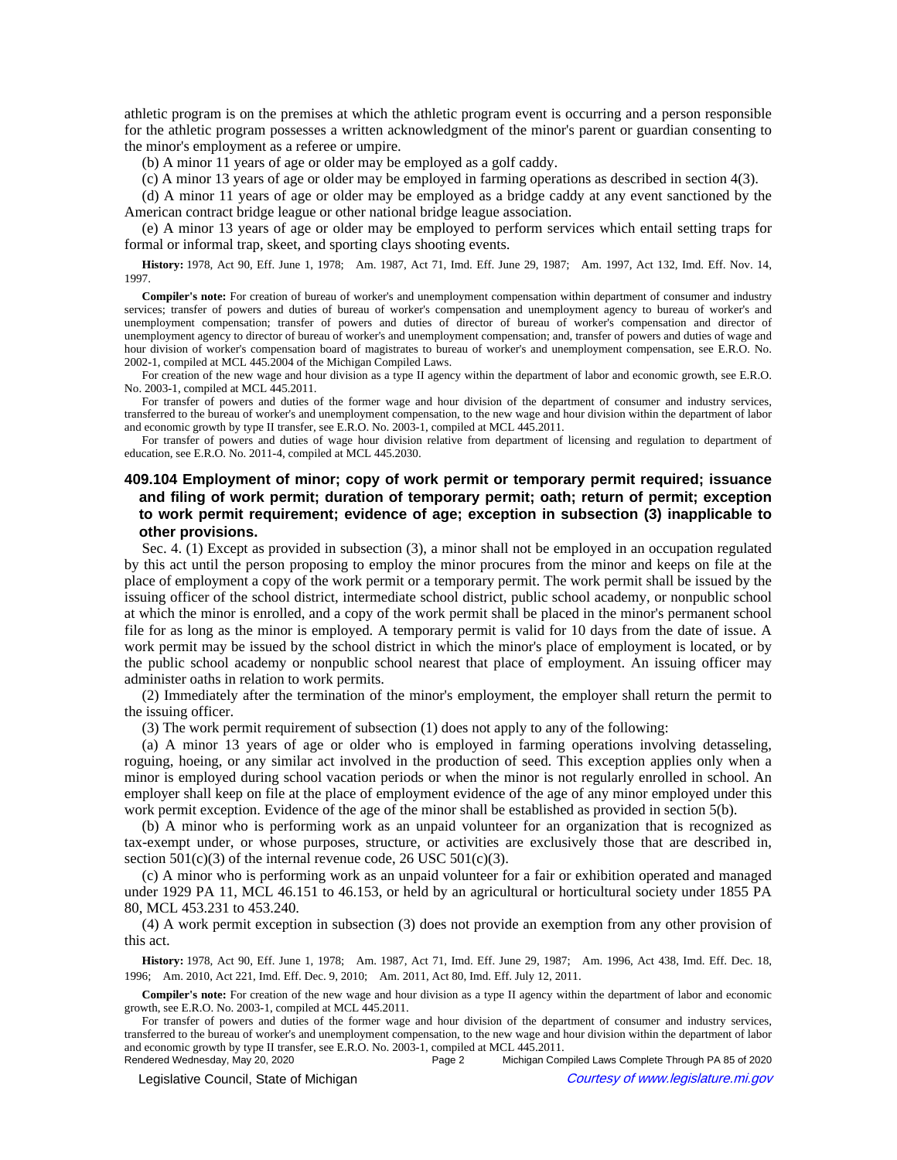athletic program is on the premises at which the athletic program event is occurring and a person responsible for the athletic program possesses a written acknowledgment of the minor's parent or guardian consenting to the minor's employment as a referee or umpire.

(b) A minor 11 years of age or older may be employed as a golf caddy.

(c) A minor 13 years of age or older may be employed in farming operations as described in section 4(3).

(d) A minor 11 years of age or older may be employed as a bridge caddy at any event sanctioned by the American contract bridge league or other national bridge league association.

(e) A minor 13 years of age or older may be employed to perform services which entail setting traps for formal or informal trap, skeet, and sporting clays shooting events.

History: 1978, Act 90, Eff. June 1, 1978;--Am. 1987, Act 71, Imd. Eff. June 29, 1987;--Am. 1997, Act 132, Imd. Eff. Nov. 14, 1997.

**Compiler's note:** For creation of bureau of worker's and unemployment compensation within department of consumer and industry services; transfer of powers and duties of bureau of worker's compensation and unemployment agency to bureau of worker's and unemployment compensation; transfer of powers and duties of director of bureau of worker's compensation and director of unemployment agency to director of bureau of worker's and unemployment compensation; and, transfer of powers and duties of wage and hour division of worker's compensation board of magistrates to bureau of worker's and unemployment compensation, see E.R.O. No. 2002-1, compiled at MCL 445.2004 of the Michigan Compiled Laws.

For creation of the new wage and hour division as a type II agency within the department of labor and economic growth, see E.R.O. No. 2003-1, compiled at MCL 445.2011.

For transfer of powers and duties of the former wage and hour division of the department of consumer and industry services, transferred to the bureau of worker's and unemployment compensation, to the new wage and hour division within the department of labor and economic growth by type II transfer, see E.R.O. No. 2003-1, compiled at MCL 445.2011.

For transfer of powers and duties of wage hour division relative from department of licensing and regulation to department of education, see E.R.O. No. 2011-4, compiled at MCL 445.2030.

# **409.104 Employment of minor; copy of work permit or temporary permit required; issuance and filing of work permit; duration of temporary permit; oath; return of permit; exception to work permit requirement; evidence of age; exception in subsection (3) inapplicable to other provisions.**

Sec. 4. (1) Except as provided in subsection (3), a minor shall not be employed in an occupation regulated by this act until the person proposing to employ the minor procures from the minor and keeps on file at the place of employment a copy of the work permit or a temporary permit. The work permit shall be issued by the issuing officer of the school district, intermediate school district, public school academy, or nonpublic school at which the minor is enrolled, and a copy of the work permit shall be placed in the minor's permanent school file for as long as the minor is employed. A temporary permit is valid for 10 days from the date of issue. A work permit may be issued by the school district in which the minor's place of employment is located, or by the public school academy or nonpublic school nearest that place of employment. An issuing officer may administer oaths in relation to work permits.

(2) Immediately after the termination of the minor's employment, the employer shall return the permit to the issuing officer.

(3) The work permit requirement of subsection (1) does not apply to any of the following:

(a) A minor 13 years of age or older who is employed in farming operations involving detasseling, roguing, hoeing, or any similar act involved in the production of seed. This exception applies only when a minor is employed during school vacation periods or when the minor is not regularly enrolled in school. An employer shall keep on file at the place of employment evidence of the age of any minor employed under this work permit exception. Evidence of the age of the minor shall be established as provided in section 5(b).

(b) A minor who is performing work as an unpaid volunteer for an organization that is recognized as tax-exempt under, or whose purposes, structure, or activities are exclusively those that are described in, section  $501(c)(3)$  of the internal revenue code, 26 USC  $501(c)(3)$ .

(c) A minor who is performing work as an unpaid volunteer for a fair or exhibition operated and managed under 1929 PA 11, MCL 46.151 to 46.153, or held by an agricultural or horticultural society under 1855 PA 80, MCL 453.231 to 453.240.

(4) A work permit exception in subsection (3) does not provide an exemption from any other provision of this act.

History: 1978, Act 90, Eff. June 1, 1978;—Am. 1987, Act 71, Imd. Eff. June 29, 1987;—Am. 1996, Act 438, Imd. Eff. Dec. 18, 1996; Am. 2010, Act 221, Imd. Eff. Dec. 9, 2010; Am. 2011, Act 80, Imd. Eff. July 12, 2011.

**Compiler's note:** For creation of the new wage and hour division as a type II agency within the department of labor and economic growth, see E.R.O. No. 2003-1, compiled at MCL 445.2011.

For transfer of powers and duties of the former wage and hour division of the department of consumer and industry services, transferred to the bureau of worker's and unemployment compensation, to the new wage and hour division within the department of labor and economic growth by type II transfer, see E.R.O. No. 2003-1, compiled at MCL 445.2011.

Page 2 Michigan Compiled Laws Complete Through PA 85 of 2020

© Legislative Council, State of Michigan Council Council Council Council Council Council Council Council Council Council Council Council Council Council Council Council Council Council Council Council Council Council Counc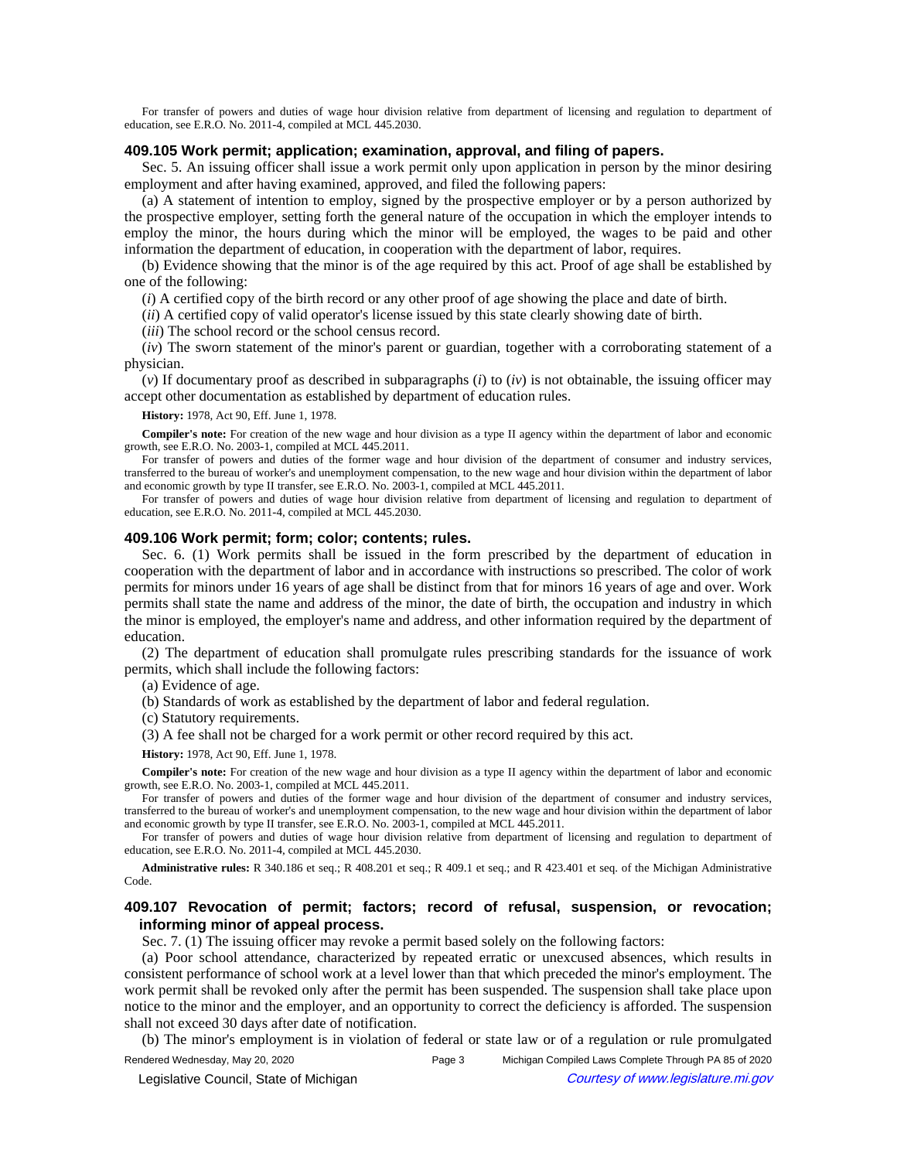For transfer of powers and duties of wage hour division relative from department of licensing and regulation to department of education, see E.R.O. No. 2011-4, compiled at MCL 445.2030.

# **409.105 Work permit; application; examination, approval, and filing of papers.**

Sec. 5. An issuing officer shall issue a work permit only upon application in person by the minor desiring employment and after having examined, approved, and filed the following papers:

(a) A statement of intention to employ, signed by the prospective employer or by a person authorized by the prospective employer, setting forth the general nature of the occupation in which the employer intends to employ the minor, the hours during which the minor will be employed, the wages to be paid and other information the department of education, in cooperation with the department of labor, requires.

(b) Evidence showing that the minor is of the age required by this act. Proof of age shall be established by one of the following:

(*i*) A certified copy of the birth record or any other proof of age showing the place and date of birth.

(*ii*) A certified copy of valid operator's license issued by this state clearly showing date of birth.

(*iii*) The school record or the school census record.

(*iv*) The sworn statement of the minor's parent or guardian, together with a corroborating statement of a physician.

 $(v)$  If documentary proof as described in subparagraphs  $(i)$  to  $(iv)$  is not obtainable, the issuing officer may accept other documentation as established by department of education rules.

#### **History:** 1978, Act 90, Eff. June 1, 1978.

**Compiler's note:** For creation of the new wage and hour division as a type II agency within the department of labor and economic growth, see E.R.O. No. 2003-1, compiled at MCL 445.2011.

For transfer of powers and duties of the former wage and hour division of the department of consumer and industry services, transferred to the bureau of worker's and unemployment compensation, to the new wage and hour division within the department of labor and economic growth by type II transfer, see E.R.O. No. 2003-1, compiled at MCL 445.2011.

For transfer of powers and duties of wage hour division relative from department of licensing and regulation to department of education, see E.R.O. No. 2011-4, compiled at MCL 445.2030.

## **409.106 Work permit; form; color; contents; rules.**

Sec. 6. (1) Work permits shall be issued in the form prescribed by the department of education in cooperation with the department of labor and in accordance with instructions so prescribed. The color of work permits for minors under 16 years of age shall be distinct from that for minors 16 years of age and over. Work permits shall state the name and address of the minor, the date of birth, the occupation and industry in which the minor is employed, the employer's name and address, and other information required by the department of education.

(2) The department of education shall promulgate rules prescribing standards for the issuance of work permits, which shall include the following factors:

(a) Evidence of age.

(b) Standards of work as established by the department of labor and federal regulation.

(c) Statutory requirements.

(3) A fee shall not be charged for a work permit or other record required by this act.

**History:** 1978, Act 90, Eff. June 1, 1978.

**Compiler's note:** For creation of the new wage and hour division as a type II agency within the department of labor and economic growth, see E.R.O. No. 2003-1, compiled at MCL 445.2011.

For transfer of powers and duties of the former wage and hour division of the department of consumer and industry services, transferred to the bureau of worker's and unemployment compensation, to the new wage and hour division within the department of labor and economic growth by type II transfer, see E.R.O. No. 2003-1, compiled at MCL 445.2011.

For transfer of powers and duties of wage hour division relative from department of licensing and regulation to department of education, see E.R.O. No. 2011-4, compiled at MCL 445.2030.

**Administrative rules:** R 340.186 et seq.; R 408.201 et seq.; R 409.1 et seq.; and R 423.401 et seq. of the Michigan Administrative Code.

# **409.107 Revocation of permit; factors; record of refusal, suspension, or revocation; informing minor of appeal process.**

Sec. 7. (1) The issuing officer may revoke a permit based solely on the following factors:

(a) Poor school attendance, characterized by repeated erratic or unexcused absences, which results in consistent performance of school work at a level lower than that which preceded the minor's employment. The work permit shall be revoked only after the permit has been suspended. The suspension shall take place upon notice to the minor and the employer, and an opportunity to correct the deficiency is afforded. The suspension shall not exceed 30 days after date of notification.

(b) The minor's employment is in violation of federal or state law or of a regulation or rule promulgated

Rendered Wednesday, May 20, 2020 Page 3 Michigan Compiled Laws Complete Through PA 85 of 2020 © Legislative Council, State of Michigan Council Council Council Council Council Council Council Council Council Council Council Council Council Council Council Council Council Council Council Council Council Council Counc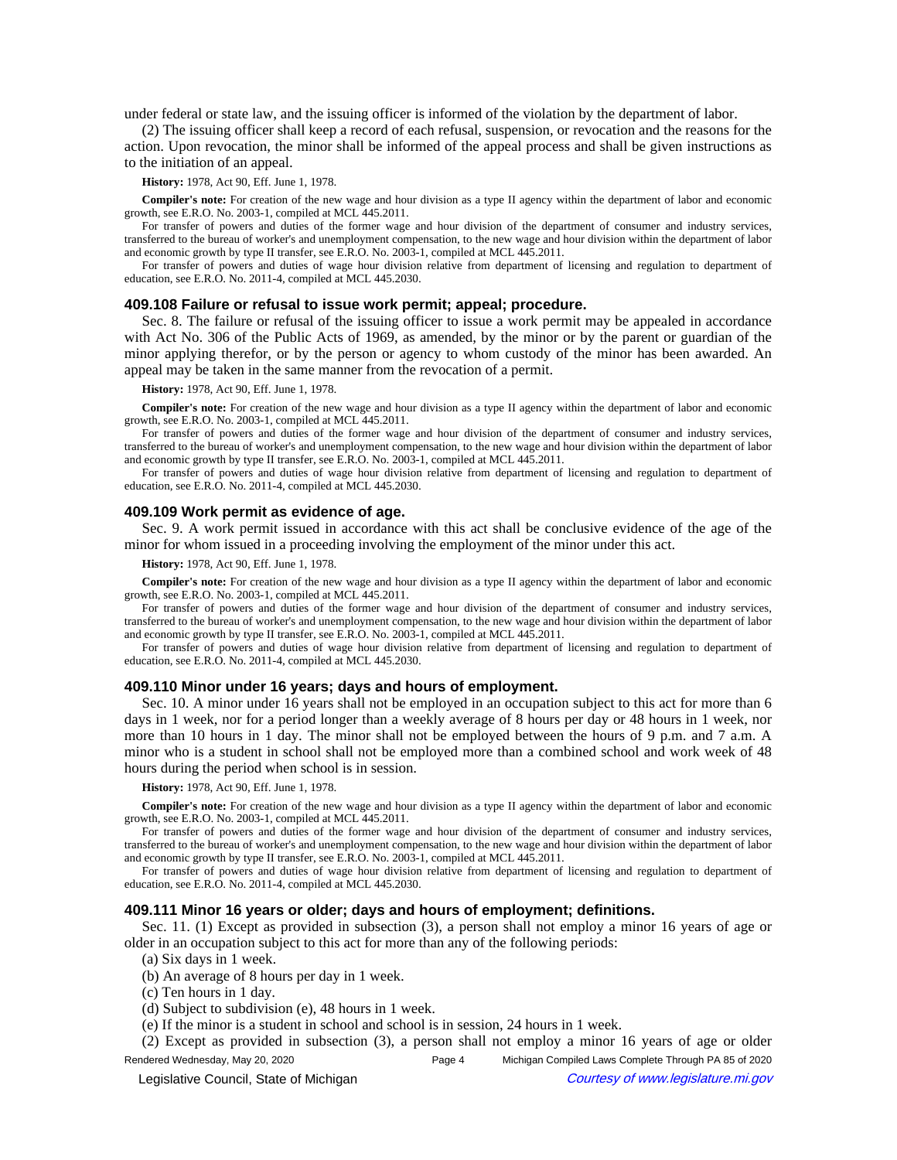under federal or state law, and the issuing officer is informed of the violation by the department of labor.

(2) The issuing officer shall keep a record of each refusal, suspension, or revocation and the reasons for the action. Upon revocation, the minor shall be informed of the appeal process and shall be given instructions as to the initiation of an appeal.

**History:** 1978, Act 90, Eff. June 1, 1978.

**Compiler's note:** For creation of the new wage and hour division as a type II agency within the department of labor and economic growth, see E.R.O. No. 2003-1, compiled at MCL 445.2011.

For transfer of powers and duties of the former wage and hour division of the department of consumer and industry services, transferred to the bureau of worker's and unemployment compensation, to the new wage and hour division within the department of labor and economic growth by type II transfer, see E.R.O. No. 2003-1, compiled at MCL 445.2011.

For transfer of powers and duties of wage hour division relative from department of licensing and regulation to department of education, see E.R.O. No. 2011-4, compiled at MCL 445.2030.

## **409.108 Failure or refusal to issue work permit; appeal; procedure.**

Sec. 8. The failure or refusal of the issuing officer to issue a work permit may be appealed in accordance with Act No. 306 of the Public Acts of 1969, as amended, by the minor or by the parent or guardian of the minor applying therefor, or by the person or agency to whom custody of the minor has been awarded. An appeal may be taken in the same manner from the revocation of a permit.

## **History:** 1978, Act 90, Eff. June 1, 1978.

**Compiler's note:** For creation of the new wage and hour division as a type II agency within the department of labor and economic growth, see E.R.O. No. 2003-1, compiled at MCL 445.2011.

For transfer of powers and duties of the former wage and hour division of the department of consumer and industry services, transferred to the bureau of worker's and unemployment compensation, to the new wage and hour division within the department of labor and economic growth by type II transfer, see E.R.O. No. 2003-1, compiled at MCL 445.2011.

For transfer of powers and duties of wage hour division relative from department of licensing and regulation to department of education, see E.R.O. No. 2011-4, compiled at MCL 445.2030.

### **409.109 Work permit as evidence of age.**

Sec. 9. A work permit issued in accordance with this act shall be conclusive evidence of the age of the minor for whom issued in a proceeding involving the employment of the minor under this act.

#### **History:** 1978, Act 90, Eff. June 1, 1978.

**Compiler's note:** For creation of the new wage and hour division as a type II agency within the department of labor and economic growth, see E.R.O. No. 2003-1, compiled at MCL 445.2011.

For transfer of powers and duties of the former wage and hour division of the department of consumer and industry services, transferred to the bureau of worker's and unemployment compensation, to the new wage and hour division within the department of labor and economic growth by type II transfer, see E.R.O. No. 2003-1, compiled at MCL 445.2011.

For transfer of powers and duties of wage hour division relative from department of licensing and regulation to department of education, see E.R.O. No. 2011-4, compiled at MCL 445.2030.

## **409.110 Minor under 16 years; days and hours of employment.**

Sec. 10. A minor under 16 years shall not be employed in an occupation subject to this act for more than 6 days in 1 week, nor for a period longer than a weekly average of 8 hours per day or 48 hours in 1 week, nor more than 10 hours in 1 day. The minor shall not be employed between the hours of 9 p.m. and 7 a.m. A minor who is a student in school shall not be employed more than a combined school and work week of 48 hours during the period when school is in session.

**History:** 1978, Act 90, Eff. June 1, 1978.

**Compiler's note:** For creation of the new wage and hour division as a type II agency within the department of labor and economic growth, see E.R.O. No. 2003-1, compiled at MCL 445.2011.

For transfer of powers and duties of the former wage and hour division of the department of consumer and industry services, transferred to the bureau of worker's and unemployment compensation, to the new wage and hour division within the department of labor and economic growth by type II transfer, see E.R.O. No. 2003-1, compiled at MCL 445.2011.

For transfer of powers and duties of wage hour division relative from department of licensing and regulation to department of education, see E.R.O. No. 2011-4, compiled at MCL 445.2030.

## **409.111 Minor 16 years or older; days and hours of employment; definitions.**

Sec. 11. (1) Except as provided in subsection (3), a person shall not employ a minor 16 years of age or older in an occupation subject to this act for more than any of the following periods:

(a) Six days in 1 week.

(b) An average of 8 hours per day in 1 week.

(c) Ten hours in 1 day.

(d) Subject to subdivision (e), 48 hours in 1 week.

(e) If the minor is a student in school and school is in session, 24 hours in 1 week.

(2) Except as provided in subsection (3), a person shall not employ a minor 16 years of age or older

Rendered Wednesday, May 20, 2020 Page 4 Michigan Compiled Laws Complete Through PA 85 of 2020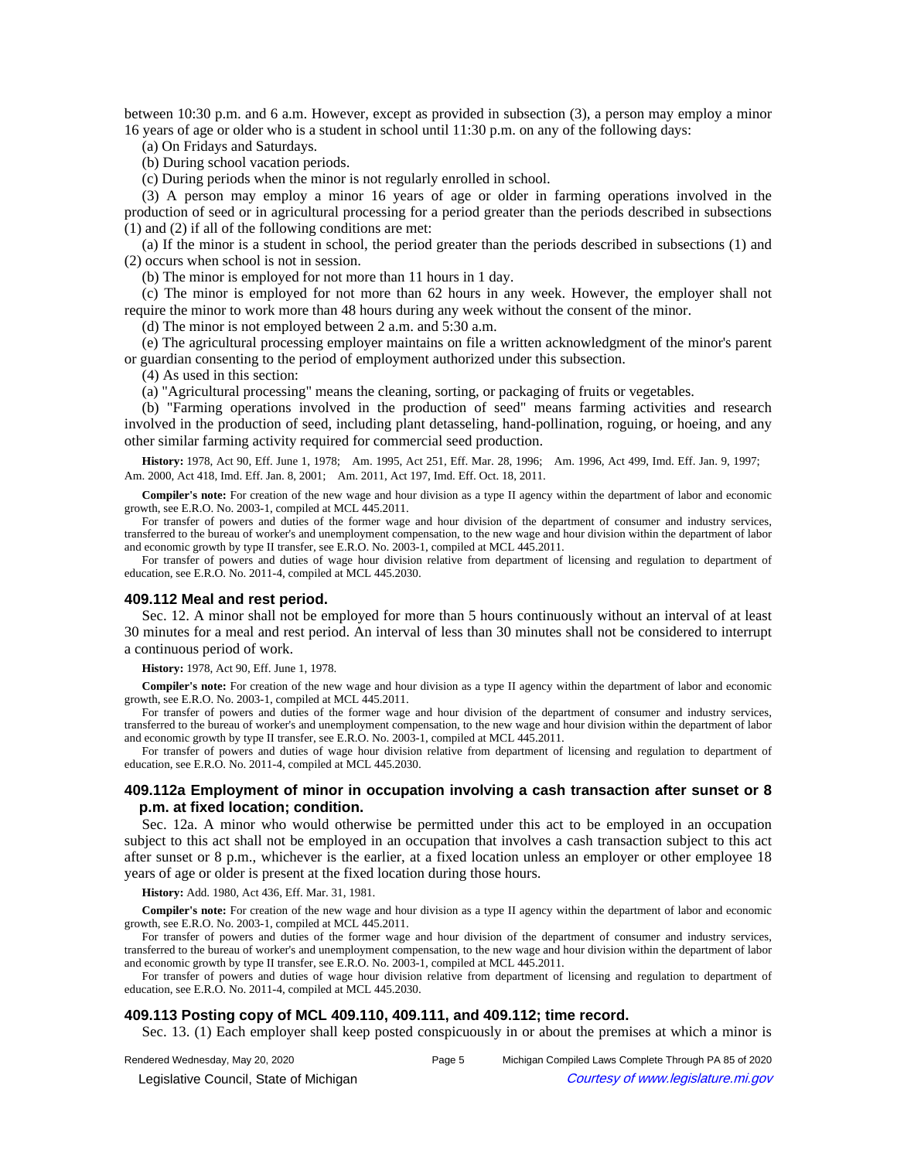between 10:30 p.m. and 6 a.m. However, except as provided in subsection (3), a person may employ a minor 16 years of age or older who is a student in school until 11:30 p.m. on any of the following days:

(a) On Fridays and Saturdays.

(b) During school vacation periods.

(c) During periods when the minor is not regularly enrolled in school.

(3) A person may employ a minor 16 years of age or older in farming operations involved in the production of seed or in agricultural processing for a period greater than the periods described in subsections (1) and (2) if all of the following conditions are met:

(a) If the minor is a student in school, the period greater than the periods described in subsections (1) and (2) occurs when school is not in session.

(b) The minor is employed for not more than 11 hours in 1 day.

(c) The minor is employed for not more than 62 hours in any week. However, the employer shall not require the minor to work more than 48 hours during any week without the consent of the minor.

(d) The minor is not employed between 2 a.m. and 5:30 a.m.

(e) The agricultural processing employer maintains on file a written acknowledgment of the minor's parent or guardian consenting to the period of employment authorized under this subsection.

(4) As used in this section:

(a) "Agricultural processing" means the cleaning, sorting, or packaging of fruits or vegetables.

(b) "Farming operations involved in the production of seed" means farming activities and research involved in the production of seed, including plant detasseling, hand-pollination, roguing, or hoeing, and any other similar farming activity required for commercial seed production.

**History:** 1978, Act 90, Eff. June 1, 1978;—Am. 1995, Act 251, Eff. Mar. 28, 1996;—Am. 1996, Act 499, Imd. Eff. Jan. 9, 1997;— Am. 2000, Act 418, Imd. Eff. Jan. 8, 2001;--- Am. 2011, Act 197, Imd. Eff. Oct. 18, 2011.

**Compiler's note:** For creation of the new wage and hour division as a type II agency within the department of labor and economic growth, see E.R.O. No. 2003-1, compiled at MCL 445.2011.

For transfer of powers and duties of the former wage and hour division of the department of consumer and industry services, transferred to the bureau of worker's and unemployment compensation, to the new wage and hour division within the department of labor and economic growth by type II transfer, see E.R.O. No. 2003-1, compiled at MCL 445.2011.

For transfer of powers and duties of wage hour division relative from department of licensing and regulation to department of education, see E.R.O. No. 2011-4, compiled at MCL 445.2030.

## **409.112 Meal and rest period.**

Sec. 12. A minor shall not be employed for more than 5 hours continuously without an interval of at least 30 minutes for a meal and rest period. An interval of less than 30 minutes shall not be considered to interrupt a continuous period of work.

**History:** 1978, Act 90, Eff. June 1, 1978.

**Compiler's note:** For creation of the new wage and hour division as a type II agency within the department of labor and economic growth, see E.R.O. No. 2003-1, compiled at MCL 445.2011.

For transfer of powers and duties of the former wage and hour division of the department of consumer and industry services, transferred to the bureau of worker's and unemployment compensation, to the new wage and hour division within the department of labor and economic growth by type II transfer, see E.R.O. No. 2003-1, compiled at MCL 445.2011.

For transfer of powers and duties of wage hour division relative from department of licensing and regulation to department of education, see E.R.O. No. 2011-4, compiled at MCL 445.2030.

# **409.112a Employment of minor in occupation involving a cash transaction after sunset or 8 p.m. at fixed location; condition.**

Sec. 12a. A minor who would otherwise be permitted under this act to be employed in an occupation subject to this act shall not be employed in an occupation that involves a cash transaction subject to this act after sunset or 8 p.m., whichever is the earlier, at a fixed location unless an employer or other employee 18 years of age or older is present at the fixed location during those hours.

**History:** Add. 1980, Act 436, Eff. Mar. 31, 1981.

**Compiler's note:** For creation of the new wage and hour division as a type II agency within the department of labor and economic growth, see E.R.O. No. 2003-1, compiled at MCL 445.2011.

For transfer of powers and duties of the former wage and hour division of the department of consumer and industry services, transferred to the bureau of worker's and unemployment compensation, to the new wage and hour division within the department of labor and economic growth by type II transfer, see E.R.O. No. 2003-1, compiled at MCL 445.2011.

For transfer of powers and duties of wage hour division relative from department of licensing and regulation to department of education, see E.R.O. No. 2011-4, compiled at MCL 445.2030.

## **409.113 Posting copy of MCL 409.110, 409.111, and 409.112; time record.**

Sec. 13. (1) Each employer shall keep posted conspicuously in or about the premises at which a minor is

Rendered Wednesday, May 20, 2020 Page 5 Michigan Compiled Laws Complete Through PA 85 of 2020

© Legislative Council, State of Michigan Council Council Council Council Council Council Council Council Council Council Council Council Council Council Council Council Council Council Council Council Council Council Counc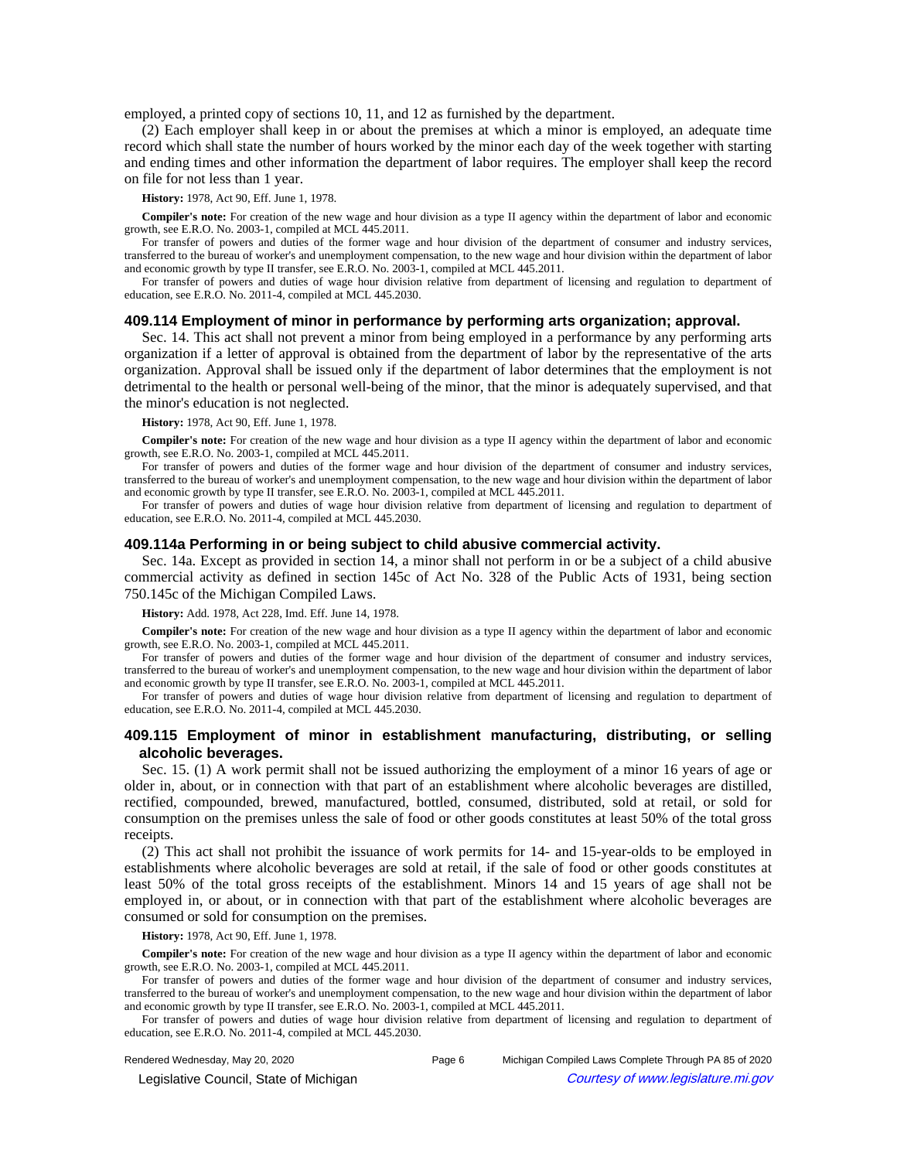employed, a printed copy of sections 10, 11, and 12 as furnished by the department.

(2) Each employer shall keep in or about the premises at which a minor is employed, an adequate time record which shall state the number of hours worked by the minor each day of the week together with starting and ending times and other information the department of labor requires. The employer shall keep the record on file for not less than 1 year.

**History:** 1978, Act 90, Eff. June 1, 1978.

**Compiler's note:** For creation of the new wage and hour division as a type II agency within the department of labor and economic growth, see E.R.O. No. 2003-1, compiled at MCL 445.2011.

For transfer of powers and duties of the former wage and hour division of the department of consumer and industry services, transferred to the bureau of worker's and unemployment compensation, to the new wage and hour division within the department of labor and economic growth by type II transfer, see E.R.O. No. 2003-1, compiled at MCL 445.2011.

For transfer of powers and duties of wage hour division relative from department of licensing and regulation to department of education, see E.R.O. No. 2011-4, compiled at MCL 445.2030.

## **409.114 Employment of minor in performance by performing arts organization; approval.**

Sec. 14. This act shall not prevent a minor from being employed in a performance by any performing arts organization if a letter of approval is obtained from the department of labor by the representative of the arts organization. Approval shall be issued only if the department of labor determines that the employment is not detrimental to the health or personal well-being of the minor, that the minor is adequately supervised, and that the minor's education is not neglected.

**History:** 1978, Act 90, Eff. June 1, 1978.

**Compiler's note:** For creation of the new wage and hour division as a type II agency within the department of labor and economic growth, see E.R.O. No. 2003-1, compiled at MCL 445.2011.

For transfer of powers and duties of the former wage and hour division of the department of consumer and industry services, transferred to the bureau of worker's and unemployment compensation, to the new wage and hour division within the department of labor and economic growth by type II transfer, see E.R.O. No. 2003-1, compiled at MCL 445.2011.

For transfer of powers and duties of wage hour division relative from department of licensing and regulation to department of education, see E.R.O. No. 2011-4, compiled at MCL 445.2030.

#### **409.114a Performing in or being subject to child abusive commercial activity.**

Sec. 14a. Except as provided in section 14, a minor shall not perform in or be a subject of a child abusive commercial activity as defined in section 145c of Act No. 328 of the Public Acts of 1931, being section 750.145c of the Michigan Compiled Laws.

**History:** Add. 1978, Act 228, Imd. Eff. June 14, 1978.

**Compiler's note:** For creation of the new wage and hour division as a type II agency within the department of labor and economic growth, see E.R.O. No. 2003-1, compiled at MCL 445.2011.

For transfer of powers and duties of the former wage and hour division of the department of consumer and industry services, transferred to the bureau of worker's and unemployment compensation, to the new wage and hour division within the department of labor and economic growth by type II transfer, see E.R.O. No. 2003-1, compiled at MCL 445.2011.

For transfer of powers and duties of wage hour division relative from department of licensing and regulation to department of education, see E.R.O. No. 2011-4, compiled at MCL 445.2030.

# **409.115 Employment of minor in establishment manufacturing, distributing, or selling alcoholic beverages.**

Sec. 15. (1) A work permit shall not be issued authorizing the employment of a minor 16 years of age or older in, about, or in connection with that part of an establishment where alcoholic beverages are distilled, rectified, compounded, brewed, manufactured, bottled, consumed, distributed, sold at retail, or sold for consumption on the premises unless the sale of food or other goods constitutes at least 50% of the total gross receipts.

(2) This act shall not prohibit the issuance of work permits for 14- and 15-year-olds to be employed in establishments where alcoholic beverages are sold at retail, if the sale of food or other goods constitutes at least 50% of the total gross receipts of the establishment. Minors 14 and 15 years of age shall not be employed in, or about, or in connection with that part of the establishment where alcoholic beverages are consumed or sold for consumption on the premises.

**History:** 1978, Act 90, Eff. June 1, 1978.

**Compiler's note:** For creation of the new wage and hour division as a type II agency within the department of labor and economic growth, see E.R.O. No. 2003-1, compiled at MCL 445.2011.

For transfer of powers and duties of the former wage and hour division of the department of consumer and industry services, transferred to the bureau of worker's and unemployment compensation, to the new wage and hour division within the department of labor and economic growth by type II transfer, see E.R.O. No. 2003-1, compiled at MCL 445.2011.

For transfer of powers and duties of wage hour division relative from department of licensing and regulation to department of education, see E.R.O. No. 2011-4, compiled at MCL 445.2030.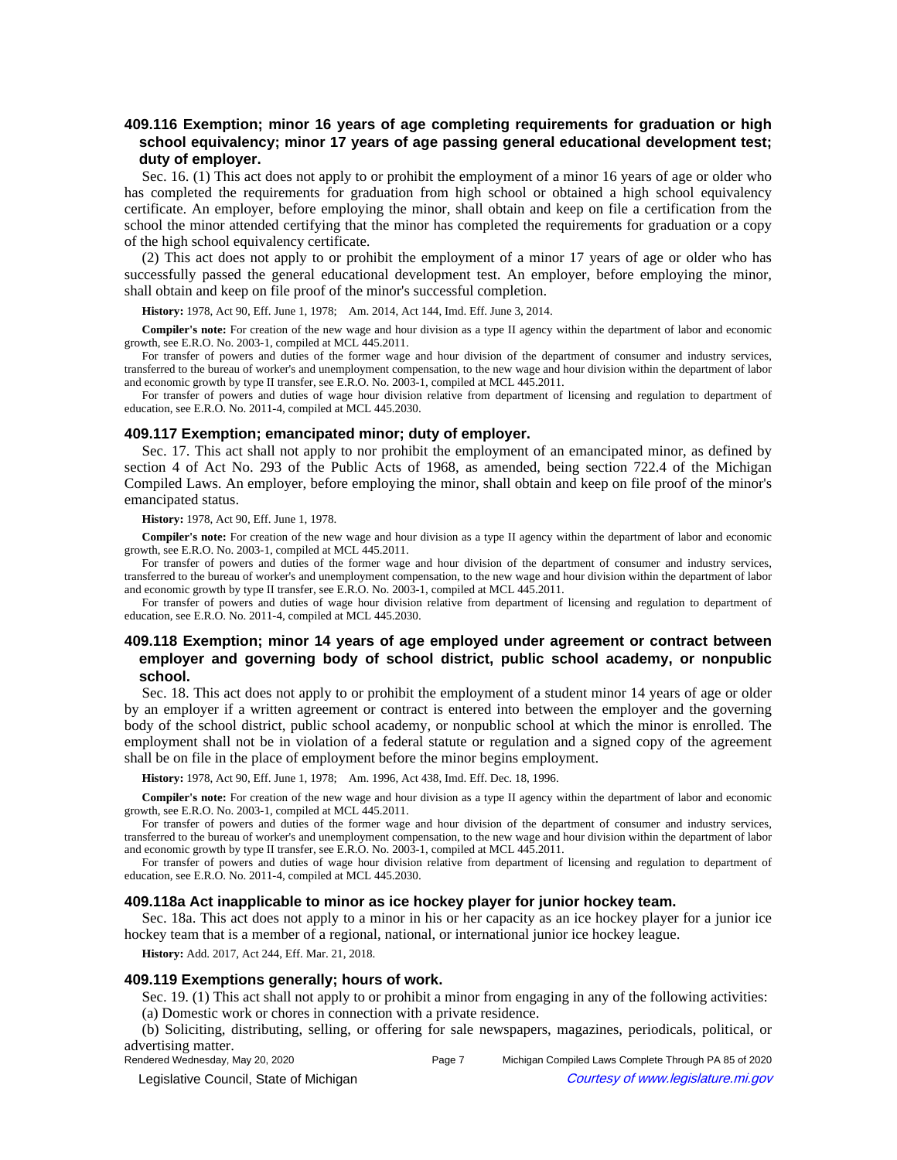# **409.116 Exemption; minor 16 years of age completing requirements for graduation or high school equivalency; minor 17 years of age passing general educational development test; duty of employer.**

Sec. 16. (1) This act does not apply to or prohibit the employment of a minor 16 years of age or older who has completed the requirements for graduation from high school or obtained a high school equivalency certificate. An employer, before employing the minor, shall obtain and keep on file a certification from the school the minor attended certifying that the minor has completed the requirements for graduation or a copy of the high school equivalency certificate.

(2) This act does not apply to or prohibit the employment of a minor 17 years of age or older who has successfully passed the general educational development test. An employer, before employing the minor, shall obtain and keep on file proof of the minor's successful completion.

History: 1978, Act 90, Eff. June 1, 1978;-Am. 2014, Act 144, Imd. Eff. June 3, 2014.

**Compiler's note:** For creation of the new wage and hour division as a type II agency within the department of labor and economic growth, see E.R.O. No. 2003-1, compiled at MCL 445.2011.

For transfer of powers and duties of the former wage and hour division of the department of consumer and industry services, transferred to the bureau of worker's and unemployment compensation, to the new wage and hour division within the department of labor and economic growth by type II transfer, see E.R.O. No. 2003-1, compiled at MCL 445.2011.

For transfer of powers and duties of wage hour division relative from department of licensing and regulation to department of education, see E.R.O. No. 2011-4, compiled at MCL 445.2030.

## **409.117 Exemption; emancipated minor; duty of employer.**

Sec. 17. This act shall not apply to nor prohibit the employment of an emancipated minor, as defined by section 4 of Act No. 293 of the Public Acts of 1968, as amended, being section 722.4 of the Michigan Compiled Laws. An employer, before employing the minor, shall obtain and keep on file proof of the minor's emancipated status.

## **History:** 1978, Act 90, Eff. June 1, 1978.

**Compiler's note:** For creation of the new wage and hour division as a type II agency within the department of labor and economic growth, see E.R.O. No. 2003-1, compiled at MCL 445.2011.

For transfer of powers and duties of the former wage and hour division of the department of consumer and industry services, transferred to the bureau of worker's and unemployment compensation, to the new wage and hour division within the department of labor and economic growth by type II transfer, see E.R.O. No. 2003-1, compiled at MCL 445.2011.

For transfer of powers and duties of wage hour division relative from department of licensing and regulation to department of education, see E.R.O. No. 2011-4, compiled at MCL 445.2030.

# **409.118 Exemption; minor 14 years of age employed under agreement or contract between employer and governing body of school district, public school academy, or nonpublic school.**

Sec. 18. This act does not apply to or prohibit the employment of a student minor 14 years of age or older by an employer if a written agreement or contract is entered into between the employer and the governing body of the school district, public school academy, or nonpublic school at which the minor is enrolled. The employment shall not be in violation of a federal statute or regulation and a signed copy of the agreement shall be on file in the place of employment before the minor begins employment.

History: 1978, Act 90, Eff. June 1, 1978;—Am. 1996, Act 438, Imd. Eff. Dec. 18, 1996.

**Compiler's note:** For creation of the new wage and hour division as a type II agency within the department of labor and economic growth, see E.R.O. No. 2003-1, compiled at MCL 445.2011.

For transfer of powers and duties of the former wage and hour division of the department of consumer and industry services, transferred to the bureau of worker's and unemployment compensation, to the new wage and hour division within the department of labor and economic growth by type II transfer, see E.R.O. No. 2003-1, compiled at MCL 445.2011.

For transfer of powers and duties of wage hour division relative from department of licensing and regulation to department of education, see E.R.O. No. 2011-4, compiled at MCL 445.2030.

## **409.118a Act inapplicable to minor as ice hockey player for junior hockey team.**

Sec. 18a. This act does not apply to a minor in his or her capacity as an ice hockey player for a junior ice hockey team that is a member of a regional, national, or international junior ice hockey league.

**History:** Add. 2017, Act 244, Eff. Mar. 21, 2018.

### **409.119 Exemptions generally; hours of work.**

Sec. 19. (1) This act shall not apply to or prohibit a minor from engaging in any of the following activities: (a) Domestic work or chores in connection with a private residence.

(b) Soliciting, distributing, selling, or offering for sale newspapers, magazines, periodicals, political, or

advertising matter.<br>Rendered Wednesday, May 20, 2020

Page 7 Michigan Compiled Laws Complete Through PA 85 of 2020 © Legislative Council, State of Michigan Council Council Council Council Council Council Council Council Council Council Council Council Council Council Council Council Council Council Council Council Council Council Counc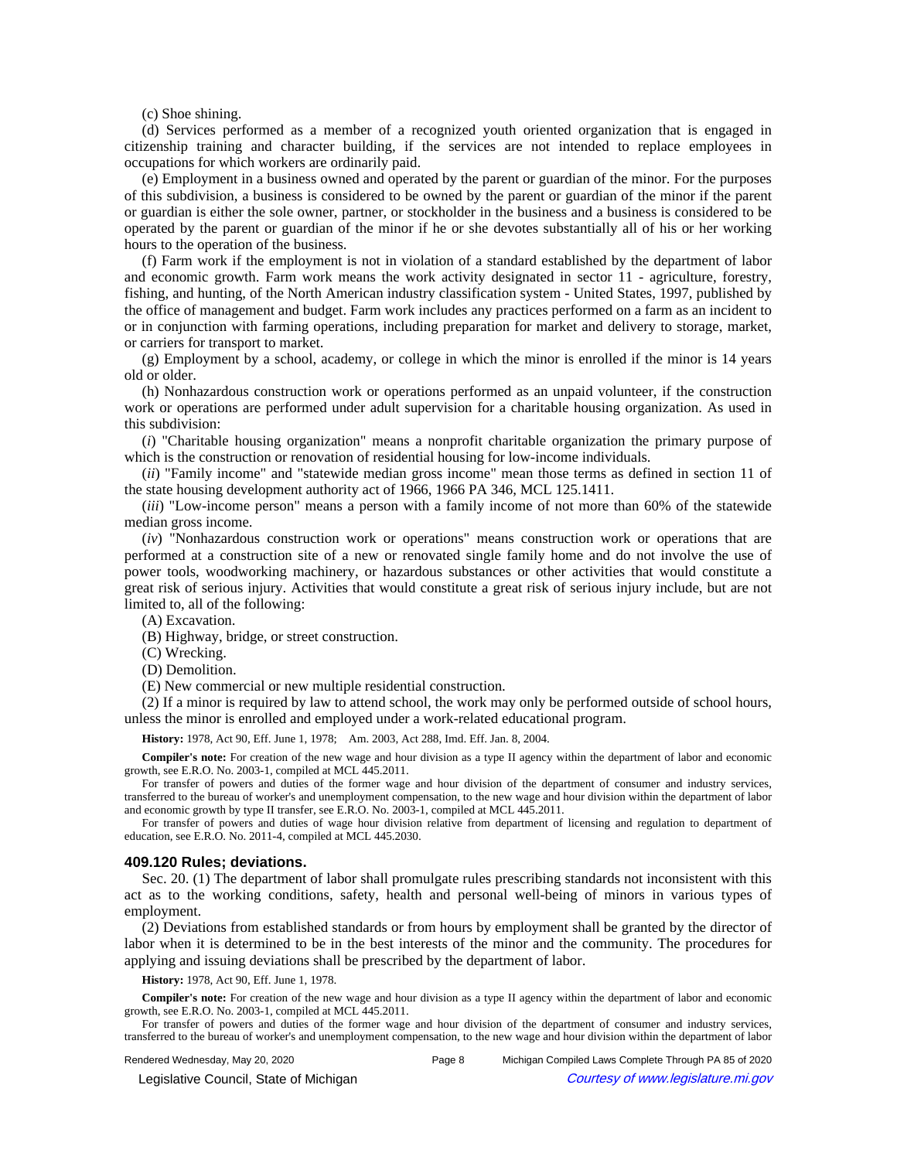(c) Shoe shining.

(d) Services performed as a member of a recognized youth oriented organization that is engaged in citizenship training and character building, if the services are not intended to replace employees in occupations for which workers are ordinarily paid.

(e) Employment in a business owned and operated by the parent or guardian of the minor. For the purposes of this subdivision, a business is considered to be owned by the parent or guardian of the minor if the parent or guardian is either the sole owner, partner, or stockholder in the business and a business is considered to be operated by the parent or guardian of the minor if he or she devotes substantially all of his or her working hours to the operation of the business.

(f) Farm work if the employment is not in violation of a standard established by the department of labor and economic growth. Farm work means the work activity designated in sector 11 - agriculture, forestry, fishing, and hunting, of the North American industry classification system - United States, 1997, published by the office of management and budget. Farm work includes any practices performed on a farm as an incident to or in conjunction with farming operations, including preparation for market and delivery to storage, market, or carriers for transport to market.

(g) Employment by a school, academy, or college in which the minor is enrolled if the minor is 14 years old or older.

(h) Nonhazardous construction work or operations performed as an unpaid volunteer, if the construction work or operations are performed under adult supervision for a charitable housing organization. As used in this subdivision:

(*i*) "Charitable housing organization" means a nonprofit charitable organization the primary purpose of which is the construction or renovation of residential housing for low-income individuals.

(*ii*) "Family income" and "statewide median gross income" mean those terms as defined in section 11 of the state housing development authority act of 1966, 1966 PA 346, MCL 125.1411.

(*iii*) "Low-income person" means a person with a family income of not more than 60% of the statewide median gross income.

(*iv*) "Nonhazardous construction work or operations" means construction work or operations that are performed at a construction site of a new or renovated single family home and do not involve the use of power tools, woodworking machinery, or hazardous substances or other activities that would constitute a great risk of serious injury. Activities that would constitute a great risk of serious injury include, but are not limited to, all of the following:

(A) Excavation.

(B) Highway, bridge, or street construction.

(C) Wrecking.

(D) Demolition.

(E) New commercial or new multiple residential construction.

(2) If a minor is required by law to attend school, the work may only be performed outside of school hours, unless the minor is enrolled and employed under a work-related educational program.

History: 1978, Act 90, Eff. June 1, 1978;-- Am. 2003, Act 288, Imd. Eff. Jan. 8, 2004.

**Compiler's note:** For creation of the new wage and hour division as a type II agency within the department of labor and economic growth, see E.R.O. No. 2003-1, compiled at MCL 445.2011.

For transfer of powers and duties of the former wage and hour division of the department of consumer and industry services, transferred to the bureau of worker's and unemployment compensation, to the new wage and hour division within the department of labor and economic growth by type II transfer, see E.R.O. No. 2003-1, compiled at MCL 445.2011.

For transfer of powers and duties of wage hour division relative from department of licensing and regulation to department of education, see E.R.O. No. 2011-4, compiled at MCL 445.2030.

## **409.120 Rules; deviations.**

Sec. 20. (1) The department of labor shall promulgate rules prescribing standards not inconsistent with this act as to the working conditions, safety, health and personal well-being of minors in various types of employment.

(2) Deviations from established standards or from hours by employment shall be granted by the director of labor when it is determined to be in the best interests of the minor and the community. The procedures for applying and issuing deviations shall be prescribed by the department of labor.

**History:** 1978, Act 90, Eff. June 1, 1978.

**Compiler's note:** For creation of the new wage and hour division as a type II agency within the department of labor and economic growth, see E.R.O. No. 2003-1, compiled at MCL 445.2011.

For transfer of powers and duties of the former wage and hour division of the department of consumer and industry services, transferred to the bureau of worker's and unemployment compensation, to the new wage and hour division within the department of labor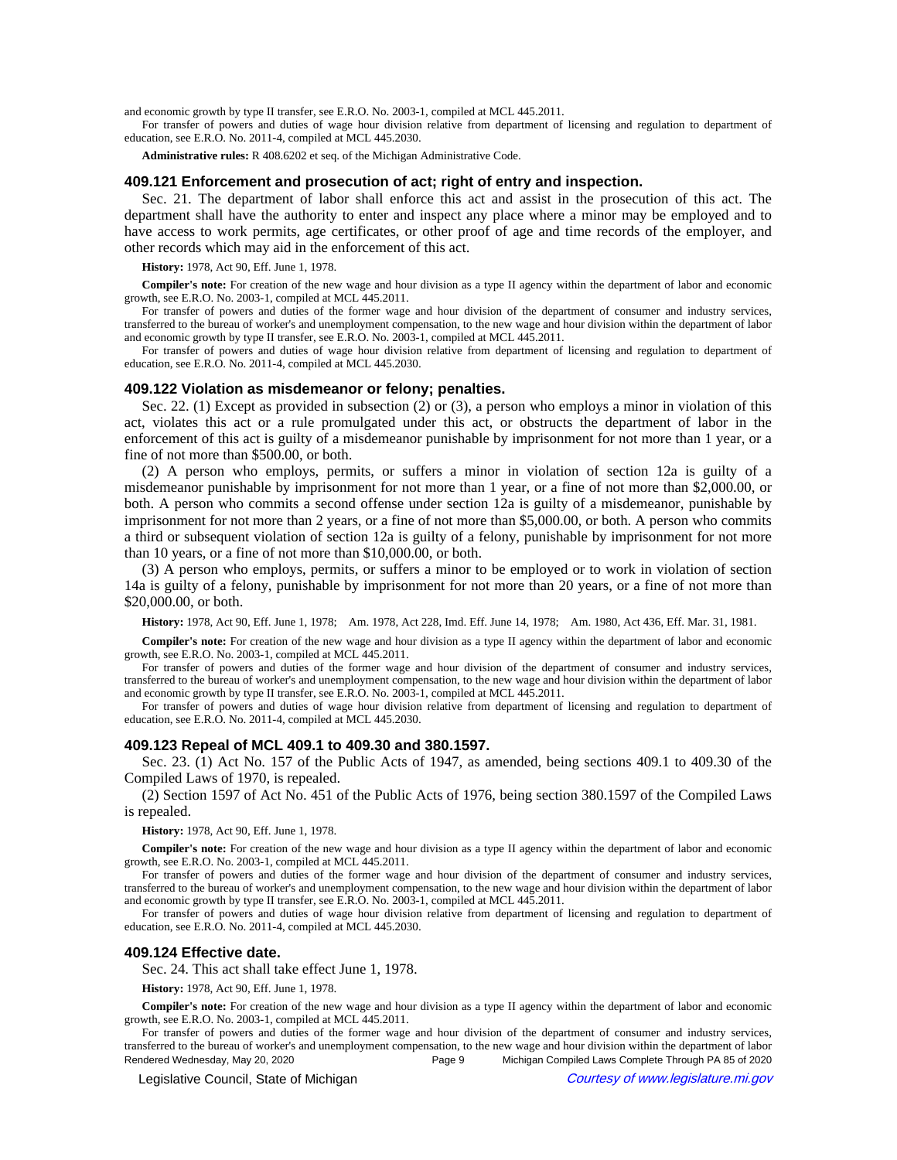and economic growth by type II transfer, see E.R.O. No. 2003-1, compiled at MCL 445.2011.

For transfer of powers and duties of wage hour division relative from department of licensing and regulation to department of education, see E.R.O. No. 2011-4, compiled at MCL 445.2030.

**Administrative rules:** R 408.6202 et seq. of the Michigan Administrative Code.

## **409.121 Enforcement and prosecution of act; right of entry and inspection.**

Sec. 21. The department of labor shall enforce this act and assist in the prosecution of this act. The department shall have the authority to enter and inspect any place where a minor may be employed and to have access to work permits, age certificates, or other proof of age and time records of the employer, and other records which may aid in the enforcement of this act.

### **History:** 1978, Act 90, Eff. June 1, 1978.

**Compiler's note:** For creation of the new wage and hour division as a type II agency within the department of labor and economic growth, see E.R.O. No. 2003-1, compiled at MCL 445.2011.

For transfer of powers and duties of the former wage and hour division of the department of consumer and industry services, transferred to the bureau of worker's and unemployment compensation, to the new wage and hour division within the department of labor and economic growth by type II transfer, see E.R.O. No. 2003-1, compiled at MCL 445.2011.

For transfer of powers and duties of wage hour division relative from department of licensing and regulation to department of education, see E.R.O. No. 2011-4, compiled at MCL 445.2030.

#### **409.122 Violation as misdemeanor or felony; penalties.**

Sec. 22. (1) Except as provided in subsection (2) or (3), a person who employs a minor in violation of this act, violates this act or a rule promulgated under this act, or obstructs the department of labor in the enforcement of this act is guilty of a misdemeanor punishable by imprisonment for not more than 1 year, or a fine of not more than \$500.00, or both.

(2) A person who employs, permits, or suffers a minor in violation of section 12a is guilty of a misdemeanor punishable by imprisonment for not more than 1 year, or a fine of not more than \$2,000.00, or both. A person who commits a second offense under section 12a is guilty of a misdemeanor, punishable by imprisonment for not more than 2 years, or a fine of not more than \$5,000.00, or both. A person who commits a third or subsequent violation of section 12a is guilty of a felony, punishable by imprisonment for not more than 10 years, or a fine of not more than \$10,000.00, or both.

(3) A person who employs, permits, or suffers a minor to be employed or to work in violation of section 14a is guilty of a felony, punishable by imprisonment for not more than 20 years, or a fine of not more than \$20,000.00, or both.

History: 1978, Act 90, Eff. June 1, 1978;--Am. 1978, Act 228, Imd. Eff. June 14, 1978;--Am. 1980, Act 436, Eff. Mar. 31, 1981.

**Compiler's note:** For creation of the new wage and hour division as a type II agency within the department of labor and economic growth, see E.R.O. No. 2003-1, compiled at MCL 445.2011.

For transfer of powers and duties of the former wage and hour division of the department of consumer and industry services, transferred to the bureau of worker's and unemployment compensation, to the new wage and hour division within the department of labor and economic growth by type II transfer, see E.R.O. No. 2003-1, compiled at MCL 445.2011.

For transfer of powers and duties of wage hour division relative from department of licensing and regulation to department of education, see E.R.O. No. 2011-4, compiled at MCL 445.2030.

### **409.123 Repeal of MCL 409.1 to 409.30 and 380.1597.**

Sec. 23. (1) Act No. 157 of the Public Acts of 1947, as amended, being sections 409.1 to 409.30 of the Compiled Laws of 1970, is repealed.

(2) Section 1597 of Act No. 451 of the Public Acts of 1976, being section 380.1597 of the Compiled Laws is repealed.

**History:** 1978, Act 90, Eff. June 1, 1978.

**Compiler's note:** For creation of the new wage and hour division as a type II agency within the department of labor and economic growth, see E.R.O. No. 2003-1, compiled at MCL 445.2011.

For transfer of powers and duties of the former wage and hour division of the department of consumer and industry services, transferred to the bureau of worker's and unemployment compensation, to the new wage and hour division within the department of labor and economic growth by type II transfer, see E.R.O. No. 2003-1, compiled at MCL 445.2011.

For transfer of powers and duties of wage hour division relative from department of licensing and regulation to department of education, see E.R.O. No. 2011-4, compiled at MCL 445.2030.

## **409.124 Effective date.**

Sec. 24. This act shall take effect June 1, 1978.

**History:** 1978, Act 90, Eff. June 1, 1978.

**Compiler's note:** For creation of the new wage and hour division as a type II agency within the department of labor and economic growth, see E.R.O. No. 2003-1, compiled at MCL 445.2011.

For transfer of powers and duties of the former wage and hour division of the department of consumer and industry services, transferred to the bureau of worker's and unemployment compensation, to the new wage and hour division within the department of labor Rendered Wednesday, May 20, 2020 Page 9 Michigan Compiled Laws Complete Through PA 85 of 2020

© Legislative Council, State of Michigan Council Council Council Council Council Council Council Council Council Council Council Council Council Council Council Council Council Council Council Council Council Council Counc